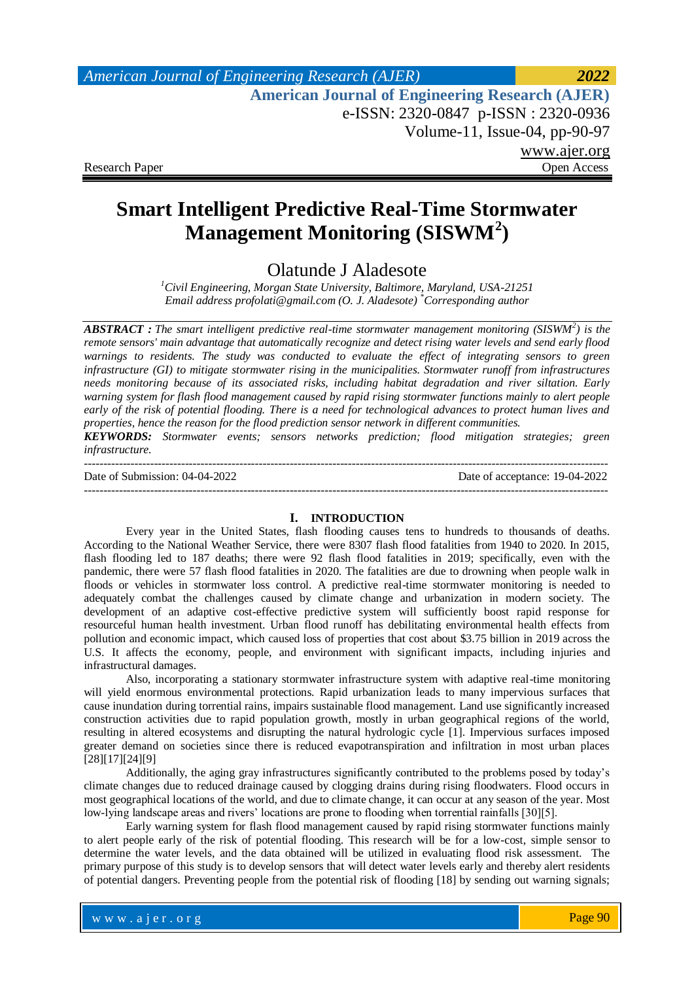# **Smart Intelligent Predictive Real-Time Stormwater Management Monitoring (SISWM<sup>2</sup> )**

Olatunde J Aladesote

*<sup>1</sup>Civil Engineering, Morgan State University, Baltimore, Maryland, USA-21251 Email address profolati@gmail.com (O. J. Aladesote) \*Corresponding author*

*ABSTRACT : The smart intelligent predictive real-time stormwater management monitoring (SISWM<sup>2</sup> ) is the remote sensors' main advantage that automatically recognize and detect rising water levels and send early flood warnings to residents. The study was conducted to evaluate the effect of integrating sensors to green infrastructure (GI) to mitigate stormwater rising in the municipalities. Stormwater runoff from infrastructures needs monitoring because of its associated risks, including habitat degradation and river siltation. Early warning system for flash flood management caused by rapid rising stormwater functions mainly to alert people early of the risk of potential flooding. There is a need for technological advances to protect human lives and properties, hence the reason for the flood prediction sensor network in different communities.* 

*KEYWORDS: Stormwater events; sensors networks prediction; flood mitigation strategies; green infrastructure.*

--------------------------------------------------------------------------------------------------------------------------------------- Date of Submission: 04-04-2022 Date of acceptance: 19-04-2022 ---------------------------------------------------------------------------------------------------------------------------------------

#### **I. INTRODUCTION**

Every year in the United States, flash flooding causes tens to hundreds to thousands of deaths. According to the National Weather Service, there were 8307 flash flood fatalities from 1940 to 2020. In 2015, flash flooding led to 187 deaths; there were 92 flash flood fatalities in 2019; specifically, even with the pandemic, there were 57 flash flood fatalities in 2020. The fatalities are due to drowning when people walk in floods or vehicles in stormwater loss control. A predictive real-time stormwater monitoring is needed to adequately combat the challenges caused by climate change and urbanization in modern society. The development of an adaptive cost-effective predictive system will sufficiently boost rapid response for resourceful human health investment. Urban flood runoff has debilitating environmental health effects from pollution and economic impact, which caused loss of properties that cost about \$3.75 billion in 2019 across the U.S. It affects the economy, people, and environment with significant impacts, including injuries and infrastructural damages.

Also, incorporating a stationary stormwater infrastructure system with adaptive real-time monitoring will yield enormous environmental protections. Rapid urbanization leads to many impervious surfaces that cause inundation during torrential rains, impairs sustainable flood management. Land use significantly increased construction activities due to rapid population growth, mostly in urban geographical regions of the world, resulting in altered ecosystems and disrupting the natural hydrologic cycle [1]. Impervious surfaces imposed greater demand on societies since there is reduced evapotranspiration and infiltration in most urban places [28][17][24][9]

Additionally, the aging gray infrastructures significantly contributed to the problems posed by today's climate changes due to reduced drainage caused by clogging drains during rising floodwaters. Flood occurs in most geographical locations of the world, and due to climate change, it can occur at any season of the year. Most low-lying landscape areas and rivers' locations are prone to flooding when torrential rainfalls [30][5].

Early warning system for flash flood management caused by rapid rising stormwater functions mainly to alert people early of the risk of potential flooding. This research will be for a low-cost, simple sensor to determine the water levels, and the data obtained will be utilized in evaluating flood risk assessment. The primary purpose of this study is to develop sensors that will detect water levels early and thereby alert residents of potential dangers. Preventing people from the potential risk of flooding [18] by sending out warning signals;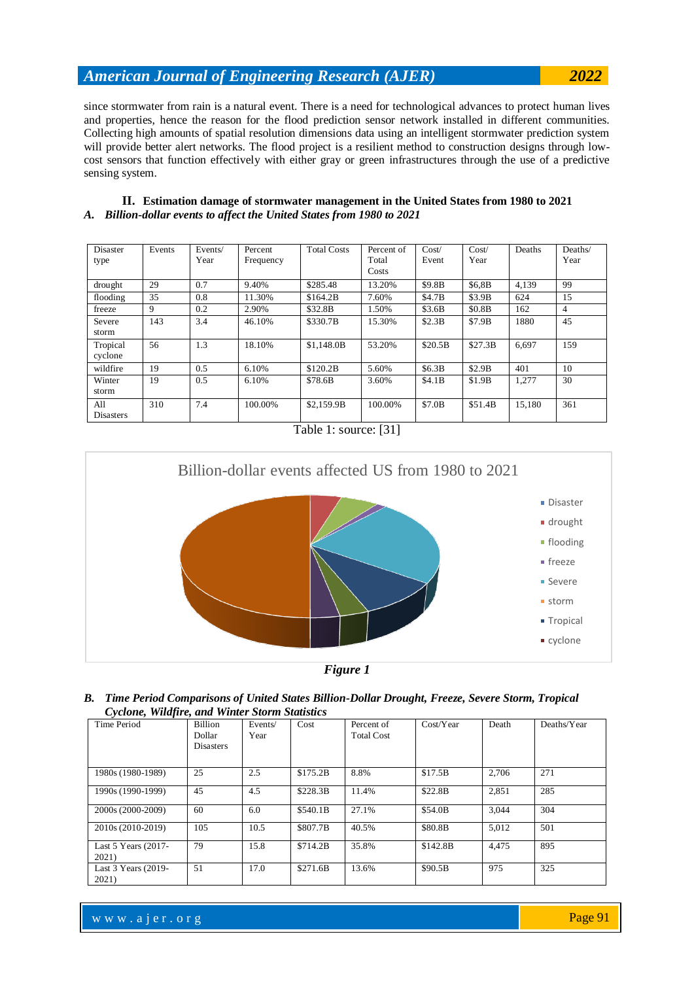since stormwater from rain is a natural event. There is a need for technological advances to protect human lives and properties, hence the reason for the flood prediction sensor network installed in different communities. Collecting high amounts of spatial resolution dimensions data using an intelligent stormwater prediction system will provide better alert networks. The flood project is a resilient method to construction designs through lowcost sensors that function effectively with either gray or green infrastructures through the use of a predictive sensing system.

| II. Estimation damage of stormwater management in the United States from 1980 to 2021 |
|---------------------------------------------------------------------------------------|
| A. Billion-dollar events to affect the United States from 1980 to 2021                |

| <b>Disaster</b><br>type | Events | Events/<br>Year | Percent<br>Frequency | <b>Total Costs</b> | Percent of<br>Total<br>Costs | Cost/<br>Event | Cost/<br>Year | Deaths | Deaths/<br>Year |
|-------------------------|--------|-----------------|----------------------|--------------------|------------------------------|----------------|---------------|--------|-----------------|
| drought                 | 29     | 0.7             | 9.40%                | \$285.48           | 13.20%                       | \$9.8B         | \$6.8B        | 4.139  | 99              |
| flooding                | 35     | 0.8             | 11.30%               | \$164.2B           | 7.60%                        | \$4.7B         | \$3.9B        | 624    | 15              |
| freeze                  | 9      | 0.2             | 2.90%                | \$32.8B            | 1.50%                        | \$3.6B         | \$0.8B        | 162    | 4               |
| Severe<br>storm         | 143    | 3.4             | 46.10%               | \$330.7B           | 15.30%                       | \$2.3B         | \$7.9B        | 1880   | 45              |
| Tropical<br>cyclone     | 56     | 1.3             | 18.10%               | \$1,148.0B         | 53.20%                       | \$20.5B        | \$27.3B       | 6.697  | 159             |
| wildfire                | 19     | 0.5             | 6.10%                | \$120.2B           | 5.60%                        | \$6.3B         | \$2.9B        | 401    | 10              |
| Winter<br>storm         | 19     | 0.5             | 6.10%                | \$78.6B            | 3.60%                        | \$4.1B         | \$1.9B        | 1,277  | 30              |
| All<br><b>Disasters</b> | 310    | 7.4             | 100.00%              | \$2,159.9B         | 100.00%                      | \$7.0B         | \$51.4B       | 15.180 | 361             |

Table 1: source: [31]



*Figure 1*

#### *B. Time Period Comparisons of United States Billion-Dollar Drought, Freeze, Severe Storm, Tropical Cyclone, Wildfire, and Winter Storm Statistics*

| $\cdot$<br>Time Period         | <b>Billion</b><br>Dollar<br><b>Disasters</b> | Events/<br>Year | Cost     | Percent of<br><b>Total Cost</b> | Cost/Year | Death | Deaths/Year |
|--------------------------------|----------------------------------------------|-----------------|----------|---------------------------------|-----------|-------|-------------|
| 1980s (1980-1989)              | 25                                           | 2.5             | \$175.2B | 8.8%                            | \$17.5B   | 2.706 | 271         |
| 1990s (1990-1999)              | 45                                           | 4.5             | \$228.3B | 11.4%                           | \$22.8B   | 2,851 | 285         |
| 2000s (2000-2009)              | 60                                           | 6.0             | \$540.1B | 27.1%                           | \$54.0B   | 3.044 | 304         |
| 2010s (2010-2019)              | 105                                          | 10.5            | \$807.7B | 40.5%                           | \$80.8B   | 5.012 | 501         |
| Last $5$ Years (2017-<br>2021) | 79                                           | 15.8            | \$714.2B | 35.8%                           | \$142.8B  | 4.475 | 895         |
| Last $3$ Years (2019-<br>2021) | 51                                           | 17.0            | \$271.6B | 13.6%                           | \$90.5B   | 975   | 325         |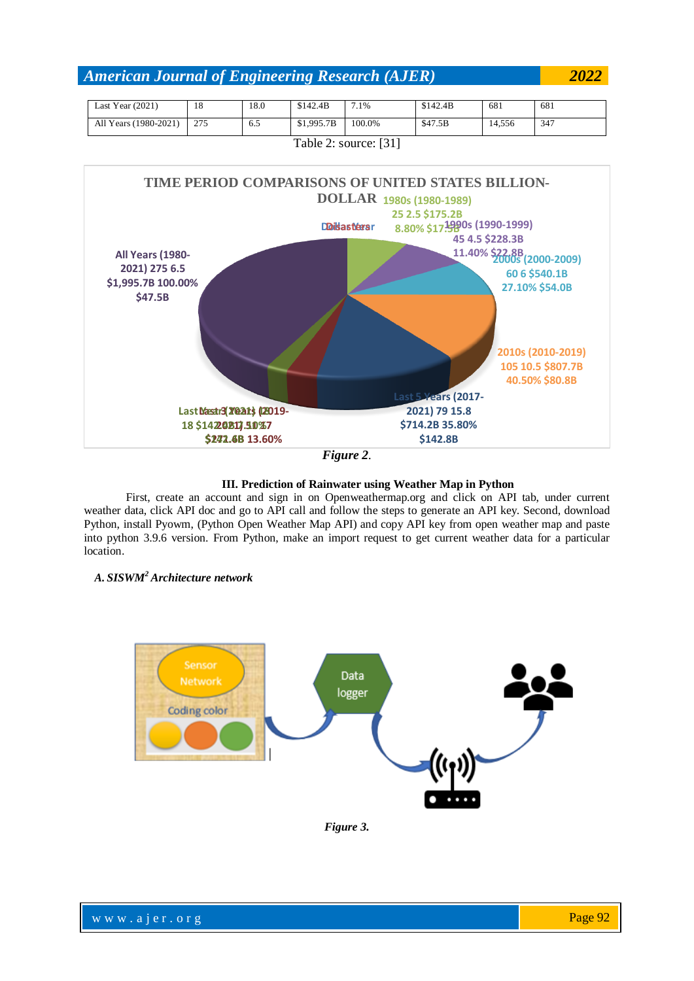| Last Year $(2021)$    | 18  | 18.0 | \$142.4B   | $.1\%$ | \$142.4B | 681    | 681 |
|-----------------------|-----|------|------------|--------|----------|--------|-----|
| All Years (1980-2021) | 275 | 6.5  | \$1,995.7B | 100.0% | \$47.5B  | 14.556 | 347 |
| Table 2: source: [31] |     |      |            |        |          |        |     |



*Figure 2.*

#### **III. Prediction of Rainwater using Weather Map in Python**

First, create an account and sign in on Openweathermap.org and click on API tab, under current weather data, click API doc and go to API call and follow the steps to generate an API key. Second, download Python, install Pyowm, (Python Open Weather Map API) and copy API key from open weather map and paste into python 3.9.6 version. From Python, make an import request to get current weather data for a particular location.

### *A. SISWM<sup>2</sup>Architecture network*



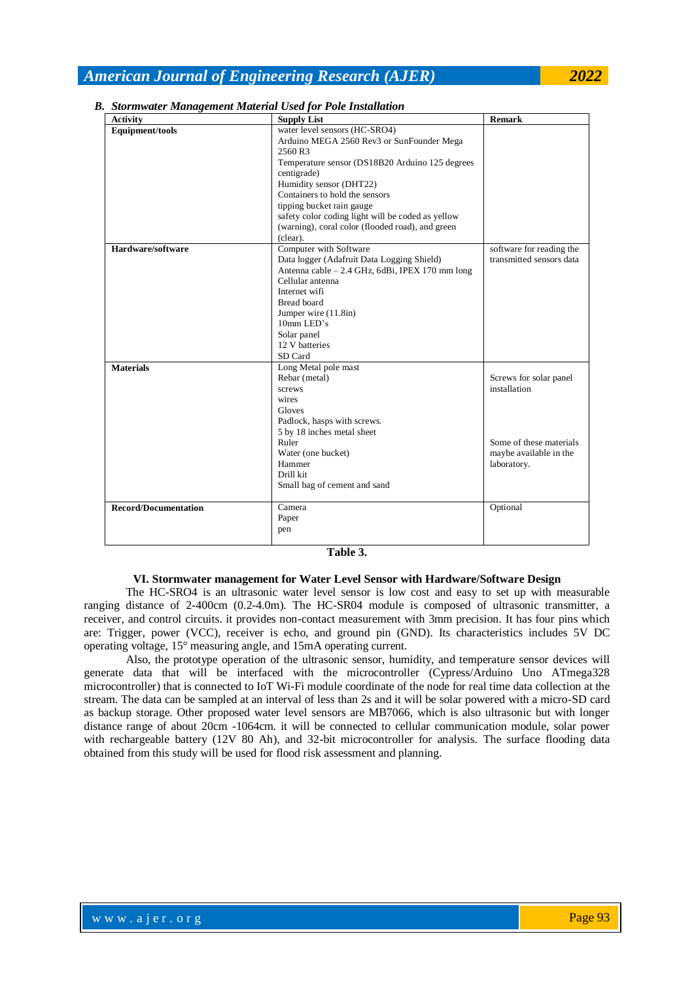| <b>Activity</b>             | <b>Supply List</b>                                | <b>Remark</b>            |
|-----------------------------|---------------------------------------------------|--------------------------|
| Equipment/tools             | water level sensors (HC-SRO4)                     |                          |
|                             | Arduino MEGA 2560 Rev3 or SunFounder Mega         |                          |
|                             | 2560 R3                                           |                          |
|                             | Temperature sensor (DS18B20 Arduino 125 degrees   |                          |
|                             | centigrade)                                       |                          |
|                             | Humidity sensor (DHT22)                           |                          |
|                             | Containers to hold the sensors                    |                          |
|                             | tipping bucket rain gauge                         |                          |
|                             | safety color coding light will be coded as yellow |                          |
|                             | (warning), coral color (flooded road), and green  |                          |
|                             | (clear).                                          |                          |
| Hardware/software           | Computer with Software                            | software for reading the |
|                             | Data logger (Adafruit Data Logging Shield)        | transmitted sensors data |
|                             | Antenna cable - 2.4 GHz, 6dBi, IPEX 170 mm long   |                          |
|                             | Cellular antenna                                  |                          |
|                             | Internet wifi                                     |                          |
|                             | <b>Bread board</b>                                |                          |
|                             | Jumper wire (11.8in)                              |                          |
|                             | 10mm LED's                                        |                          |
|                             | Solar panel                                       |                          |
|                             | 12 V batteries                                    |                          |
|                             | SD Card                                           |                          |
| <b>Materials</b>            | Long Metal pole mast                              |                          |
|                             | Rebar (metal)                                     | Screws for solar panel   |
|                             | screws                                            | installation             |
|                             | wires                                             |                          |
|                             | Gloves                                            |                          |
|                             | Padlock, hasps with screws.                       |                          |
|                             | 5 by 18 inches metal sheet                        |                          |
|                             | Ruler                                             | Some of these materials  |
|                             | Water (one bucket)                                | maybe available in the   |
|                             | Hammer                                            | laboratory.              |
|                             | Drill kit                                         |                          |
|                             | Small bag of cement and sand                      |                          |
| <b>Record/Documentation</b> | Camera                                            | Optional                 |
|                             | Paper                                             |                          |
|                             | pen                                               |                          |
|                             |                                                   |                          |

#### *B. Stormwater Management Material Used for Pole Installation*

#### **VI. Stormwater management for Water Level Sensor with Hardware/Software Design**

The HC-SRO4 is an ultrasonic water level sensor is low cost and easy to set up with measurable ranging distance of 2-400cm (0.2-4.0m). The HC-SR04 module is composed of ultrasonic transmitter, a receiver, and control circuits. it provides non-contact measurement with 3mm precision. It has four pins which are: Trigger, power (VCC), receiver is echo, and ground pin (GND). Its characteristics includes 5V DC operating voltage, 15° measuring angle, and 15mA operating current.

Also, the prototype operation of the ultrasonic sensor, humidity, and temperature sensor devices will generate data that will be interfaced with the microcontroller (Cypress/Arduino Uno ATmega328 microcontroller) that is connected to IoT Wi-Fi module coordinate of the node for real time data collection at the stream. The data can be sampled at an interval of less than 2s and it will be solar powered with a micro-SD card as backup storage. Other proposed water level sensors are MB7066, which is also ultrasonic but with longer distance range of about 20cm -1064cm. it will be connected to cellular communication module, solar power with rechargeable battery (12V 80 Ah), and 32-bit microcontroller for analysis. The surface flooding data obtained from this study will be used for flood risk assessment and planning.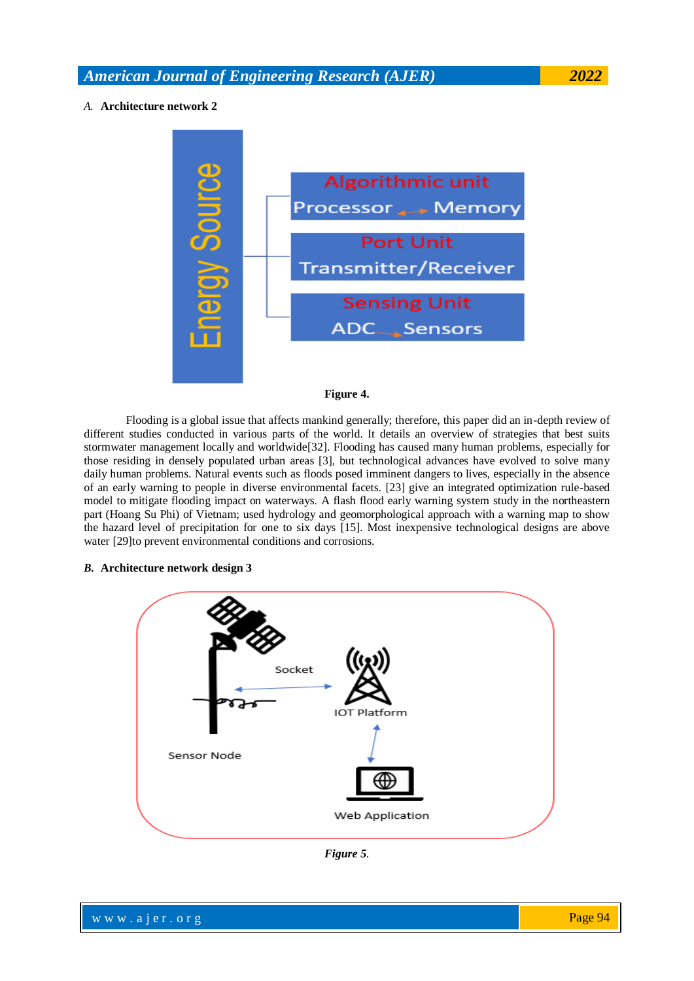#### *A.* **Architecture network 2**





Flooding is a global issue that affects mankind generally; therefore, this paper did an in-depth review of different studies conducted in various parts of the world. It details an overview of strategies that best suits stormwater management locally and worldwide[32]. Flooding has caused many human problems, especially for those residing in densely populated urban areas [3], but technological advances have evolved to solve many daily human problems. Natural events such as floods posed imminent dangers to lives, especially in the absence of an early warning to people in diverse environmental facets. [23] give an integrated optimization rule-based model to mitigate flooding impact on waterways. A flash flood early warning system study in the northeastern part (Hoang Su Phi) of Vietnam; used hydrology and geomorphological approach with a warning map to show the hazard level of precipitation for one to six days [15]. Most inexpensive technological designs are above water [29]to prevent environmental conditions and corrosions.

#### *B.* **Architecture network design 3**



*Figure 5.*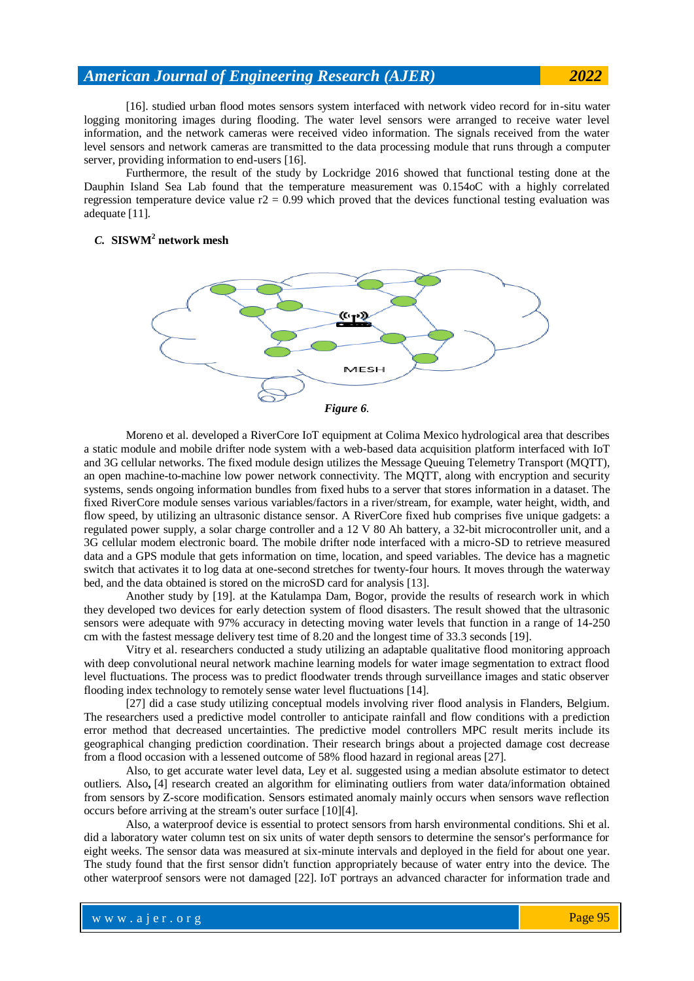[16]. studied urban flood motes sensors system interfaced with network video record for in-situ water logging monitoring images during flooding. The water level sensors were arranged to receive water level information, and the network cameras were received video information. The signals received from the water level sensors and network cameras are transmitted to the data processing module that runs through a computer server, providing information to end-users [16].

Furthermore, the result of the study by Lockridge 2016 showed that functional testing done at the Dauphin Island Sea Lab found that the temperature measurement was 0.154oC with a highly correlated regression temperature device value  $r2 = 0.99$  which proved that the devices functional testing evaluation was adequate [11].

#### *C.* **SISWM<sup>2</sup> network mesh**





Moreno et al. developed a RiverCore IoT equipment at Colima Mexico hydrological area that describes a static module and mobile drifter node system with a web-based data acquisition platform interfaced with IoT and 3G cellular networks. The fixed module design utilizes the Message Queuing Telemetry Transport (MQTT), an open machine-to-machine low power network connectivity. The MQTT, along with encryption and security systems, sends ongoing information bundles from fixed hubs to a server that stores information in a dataset. The fixed RiverCore module senses various variables/factors in a river/stream, for example, water height, width, and flow speed, by utilizing an ultrasonic distance sensor. A RiverCore fixed hub comprises five unique gadgets: a regulated power supply, a solar charge controller and a 12 V 80 Ah battery, a 32-bit microcontroller unit, and a 3G cellular modem electronic board. The mobile drifter node interfaced with a micro-SD to retrieve measured data and a GPS module that gets information on time, location, and speed variables. The device has a magnetic switch that activates it to log data at one-second stretches for twenty-four hours. It moves through the waterway bed, and the data obtained is stored on the microSD card for analysis [13].

Another study by [19]. at the Katulampa Dam, Bogor, provide the results of research work in which they developed two devices for early detection system of flood disasters. The result showed that the ultrasonic sensors were adequate with 97% accuracy in detecting moving water levels that function in a range of 14-250 cm with the fastest message delivery test time of 8.20 and the longest time of 33.3 seconds [19].

Vitry et al. researchers conducted a study utilizing an adaptable qualitative flood monitoring approach with deep convolutional neural network machine learning models for water image segmentation to extract flood level fluctuations. The process was to predict floodwater trends through surveillance images and static observer flooding index technology to remotely sense water level fluctuations [14].

[27] did a case study utilizing conceptual models involving river flood analysis in Flanders, Belgium. The researchers used a predictive model controller to anticipate rainfall and flow conditions with a prediction error method that decreased uncertainties. The predictive model controllers MPC result merits include its geographical changing prediction coordination. Their research brings about a projected damage cost decrease from a flood occasion with a lessened outcome of 58% flood hazard in regional areas [27].

Also, to get accurate water level data, Ley et al. suggested using a median absolute estimator to detect outliers. Also**,** [4] research created an algorithm for eliminating outliers from water data/information obtained from sensors by Z-score modification. Sensors estimated anomaly mainly occurs when sensors wave reflection occurs before arriving at the stream's outer surface [10][4].

Also, a waterproof device is essential to protect sensors from harsh environmental conditions. Shi et al. did a laboratory water column test on six units of water depth sensors to determine the sensor's performance for eight weeks. The sensor data was measured at six-minute intervals and deployed in the field for about one year. The study found that the first sensor didn't function appropriately because of water entry into the device. The other waterproof sensors were not damaged [22]. IoT portrays an advanced character for information trade and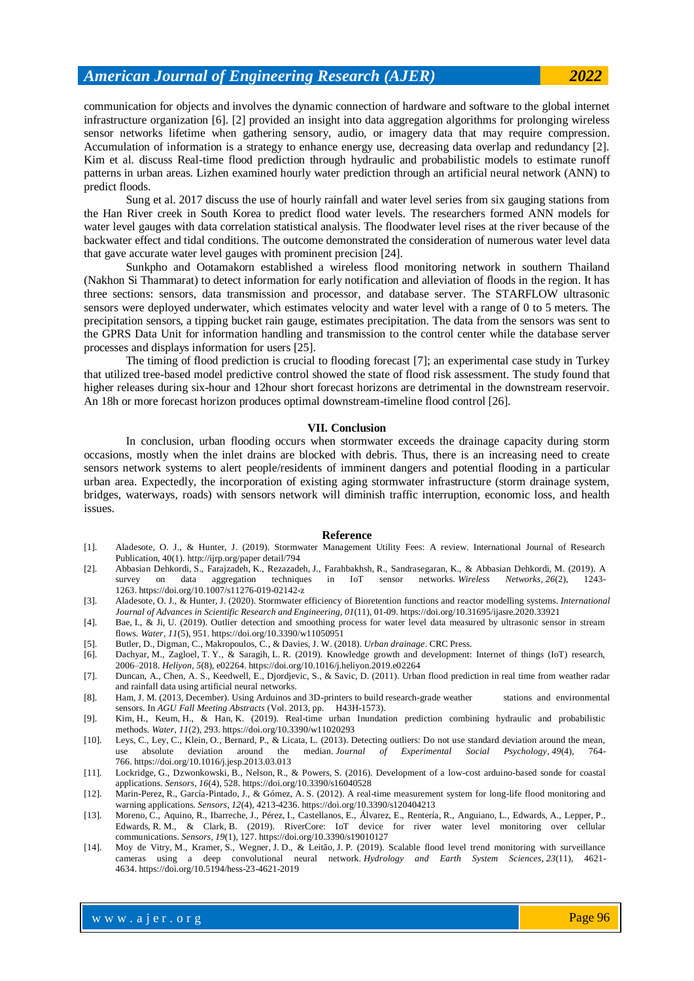communication for objects and involves the dynamic connection of hardware and software to the global internet infrastructure organization [6]. [2] provided an insight into data aggregation algorithms for prolonging wireless sensor networks lifetime when gathering sensory, audio, or imagery data that may require compression. Accumulation of information is a strategy to enhance energy use, decreasing data overlap and redundancy [2]. Kim et al. discuss Real-time flood prediction through hydraulic and probabilistic models to estimate runoff patterns in urban areas. Lizhen examined hourly water prediction through an artificial neural network (ANN) to predict floods.

Sung et al. 2017 discuss the use of hourly rainfall and water level series from six gauging stations from the Han River creek in South Korea to predict flood water levels. The researchers formed ANN models for water level gauges with data correlation statistical analysis. The floodwater level rises at the river because of the backwater effect and tidal conditions. The outcome demonstrated the consideration of numerous water level data that gave accurate water level gauges with prominent precision [24].

Sunkpho and Ootamakorn established a wireless flood monitoring network in southern Thailand (Nakhon Si Thammarat) to detect information for early notification and alleviation of floods in the region. It has three sections: sensors, data transmission and processor, and database server. The STARFLOW ultrasonic sensors were deployed underwater, which estimates velocity and water level with a range of 0 to 5 meters. The precipitation sensors, a tipping bucket rain gauge, estimates precipitation. The data from the sensors was sent to the GPRS Data Unit for information handling and transmission to the control center while the database server processes and displays information for users [25].

The timing of flood prediction is crucial to flooding forecast [7]; an experimental case study in Turkey that utilized tree-based model predictive control showed the state of flood risk assessment. The study found that higher releases during six-hour and 12hour short forecast horizons are detrimental in the downstream reservoir. An 18h or more forecast horizon produces optimal downstream-timeline flood control [26].

#### **VII. Conclusion**

In conclusion, urban flooding occurs when stormwater exceeds the drainage capacity during storm occasions, mostly when the inlet drains are blocked with debris. Thus, there is an increasing need to create sensors network systems to alert people/residents of imminent dangers and potential flooding in a particular urban area. Expectedly, the incorporation of existing aging stormwater infrastructure (storm drainage system, bridges, waterways, roads) with sensors network will diminish traffic interruption, economic loss, and health issues.

#### **Reference**

- [1]. Aladesote, O. J., & Hunter, J. (2019). Stormwater Management Utility Fees: A review. International Journal of Research Publication, 40(1). [http://ijrp.org/paper detail/794](http://ijrp.org/paper%20detail/794)
- [2]. Abbasian Dehkordi, S., Farajzadeh, K., Rezazadeh, J., Farahbakhsh, R., Sandrasegaran, K., & Abbasian Dehkordi, M. (2019). A survey on data aggregation techniques in IoT sensor networks. *Wireless Networks*, 26(2), 1263. <https://doi.org/10.1007/s11276-019-02142-z>
- [3]. Aladesote, O. J., & Hunter, J. (2020). Stormwater efficiency of Bioretention functions and reactor modelling systems. *International Journal of Advances in Scientific Research and Engineering*, *01*(11), 01-09. <https://doi.org/10.31695/ijasre.2020.33921>
- [4]. Bae, I., & Ji, U. (2019). Outlier detection and smoothing process for water level data measured by ultrasonic sensor in stream flows. *Water*, *11*(5), 951. <https://doi.org/10.3390/w11050951>
- [5]. Butler, D., Digman, C., Makropoulos, C., & Davies, J. W. (2018). *Urban drainage*. CRC Press.
- [6]. Dachyar, M., Zagloel, T. Y., & Saragih, L. R. (2019). Knowledge growth and development: Internet of things (IoT) research, 2006–2018. *Heliyon*, *5*(8), e02264. <https://doi.org/10.1016/j.heliyon.2019.e02264>
- [7]. Duncan, A., Chen, A. S., Keedwell, E., Djordjevic, S., & Savic, D. (2011). Urban flood prediction in real time from weather radar and rainfall data using artificial neural networks.
- [8]. Ham, J. M. (2013, December). Using Arduinos and 3D-printers to build research-grade weather stations and environmental sensors. In *AGU Fall Meeting Abstracts* (Vol. 2013, pp. H43H-1573).
- [9]. Kim, H., Keum, H., & Han, K. (2019). Real-time urban Inundation prediction combining hydraulic and probabilistic methods. *Water*, *11*(2), 293. <https://doi.org/10.3390/w11020293>
- [10]. Leys, C., Ley, C., Klein, O., Bernard, P., & Licata, L. (2013). Detecting outliers: Do not use standard deviation around the median *Journal of Experimental Social Psychology*, 49(4), 764use absolute deviation around the median. *Journal of Experimental Social Psychology*, 49(4), 766. <https://doi.org/10.1016/j.jesp.2013.03.013>
- [11]. Lockridge, G., Dzwonkowski, B., Nelson, R., & Powers, S. (2016). Development of a low-cost arduino-based sonde for coastal applications. *Sensors*, *16*(4), 528. <https://doi.org/10.3390/s16040528>
- [12]. Marin-Perez, R., García-Pintado, J., & Gómez, A. S. (2012). A real-time measurement system for long-life flood monitoring and warning applications. *Sensors*, *12*(4), 4213-4236. <https://doi.org/10.3390/s120404213>
- [13]. Moreno, C., Aquino, R., Ibarreche, J., Pérez, I., Castellanos, E., Álvarez, E., Rentería, R., Anguiano, L., Edwards, A., Lepper, P., Edwards, R. M., & Clark, B. (2019). RiverCore: IoT device for river water level monitoring over cellular communications. *Sensors*, *19*(1), 127. <https://doi.org/10.3390/s19010127>
- [14]. Moy de Vitry, M., Kramer, S., Wegner, J. D., & Leitão, J. P. (2019). Scalable flood level trend monitoring with surveillance cameras using a deep convolutional neural network. *Hydrology and Earth System Sciences*, *23*(11), 4621- 4634. <https://doi.org/10.5194/hess-23-4621-2019>